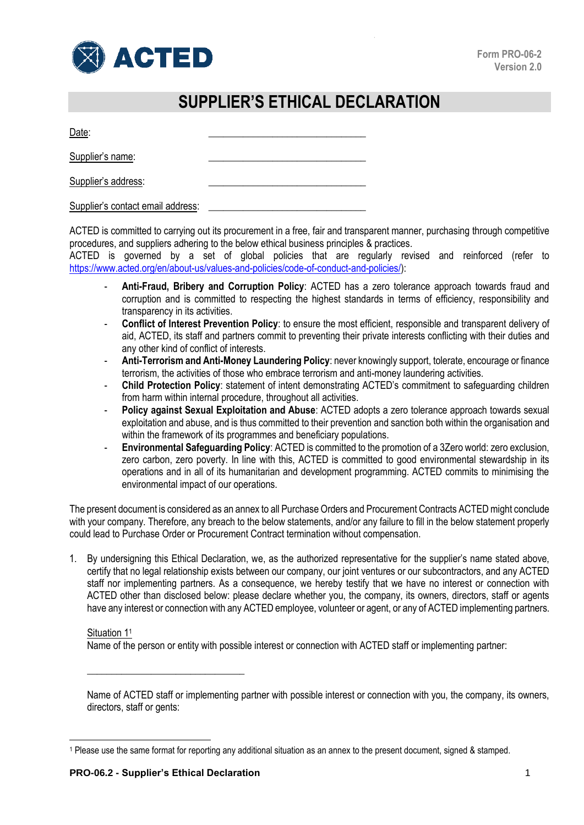

## **SUPPLIER'S ETHICAL DECLARATION**

Date: \_\_\_\_\_\_\_\_\_\_\_\_\_\_\_\_\_\_\_\_\_\_\_\_\_\_\_\_\_\_\_\_

Supplier's name:

Supplier's address:

Supplier's contact email address:

ACTED is committed to carrying out its procurement in a free, fair and transparent manner, purchasing through competitive procedures, and suppliers adhering to the below ethical business principles & practices.

ACTED is governed by a set of global policies that are regularly revised and reinforced (refer to [https://www.acted.org/en/about-us/values-and-policies/code-of-conduct-and-policies/\)](https://www.acted.org/en/about-us/values-and-policies/code-of-conduct-and-policies/):

- **Anti-Fraud, Bribery and Corruption Policy**: ACTED has a zero tolerance approach towards fraud and corruption and is committed to respecting the highest standards in terms of efficiency, responsibility and transparency in its activities.
- **Conflict of Interest Prevention Policy**: to ensure the most efficient, responsible and transparent delivery of aid, ACTED, its staff and partners commit to preventing their private interests conflicting with their duties and any other kind of conflict of interests.
- **Anti-Terrorism and Anti-Money Laundering Policy**: never knowingly support, tolerate, encourage or finance terrorism, the activities of those who embrace terrorism and anti-money laundering activities.
- **Child Protection Policy**: statement of intent demonstrating ACTED's commitment to safeguarding children from harm within internal procedure, throughout all activities.
- **Policy against Sexual Exploitation and Abuse**: ACTED adopts a zero tolerance approach towards sexual exploitation and abuse, and is thus committed to their prevention and sanction both within the organisation and within the framework of its programmes and beneficiary populations.
- **Environmental Safeguarding Policy**: ACTED is committed to the promotion of a 3Zero world: zero exclusion, zero carbon, zero poverty. In line with this, ACTED is committed to good environmental stewardship in its operations and in all of its humanitarian and development programming. ACTED commits to minimising the environmental impact of our operations.

The present document is considered as an annex to all Purchase Orders and Procurement Contracts ACTED might conclude with your company. Therefore, any breach to the below statements, and/or any failure to fill in the below statement properly could lead to Purchase Order or Procurement Contract termination without compensation.

1. By undersigning this Ethical Declaration, we, as the authorized representative for the supplier's name stated above, certify that no legal relationship exists between our company, our joint ventures or our subcontractors, and any ACTED staff nor implementing partners. As a consequence, we hereby testify that we have no interest or connection with ACTED other than disclosed below: please declare whether you, the company, its owners, directors, staff or agents have any interest or connection with any ACTED employee, volunteer or agent, or any of ACTED implementing partners.

Situation 1<sup>1</sup>

 $\overline{a}$ 

Name of the person or entity with possible interest or connection with ACTED staff or implementing partner:

\_\_\_\_\_\_\_\_\_\_\_\_\_\_\_\_\_\_\_\_\_\_\_\_\_\_\_\_\_\_\_\_

Name of ACTED staff or implementing partner with possible interest or connection with you, the company, its owners, directors, staff or gents:

<sup>1</sup> Please use the same format for reporting any additional situation as an annex to the present document, signed & stamped.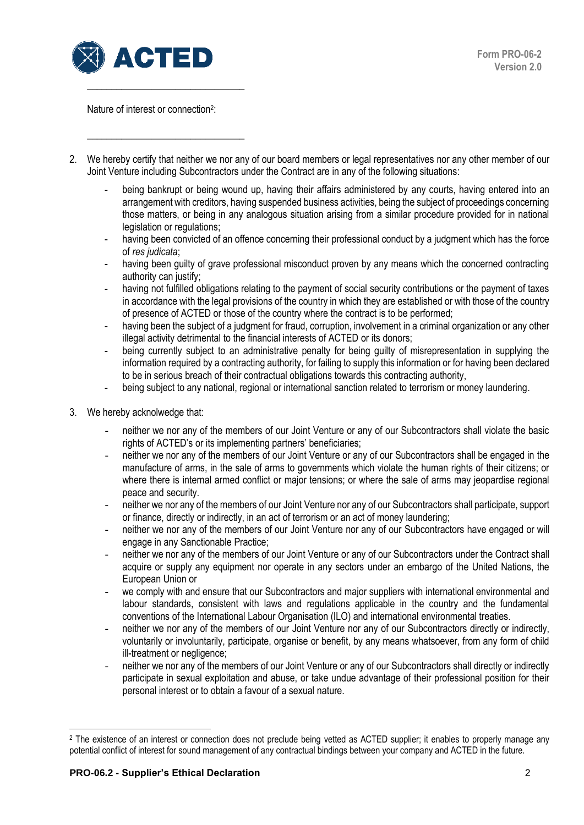

Nature of interest or connection<sup>2</sup>:

\_\_\_\_\_\_\_\_\_\_\_\_\_\_\_\_\_\_\_\_\_\_\_\_\_\_\_\_\_\_\_\_

\_\_\_\_\_\_\_\_\_\_\_\_\_\_\_\_\_\_\_\_\_\_\_\_\_\_\_\_\_\_\_\_

- 2. We hereby certify that neither we nor any of our board members or legal representatives nor any other member of our Joint Venture including Subcontractors under the Contract are in any of the following situations:
	- being bankrupt or being wound up, having their affairs administered by any courts, having entered into an arrangement with creditors, having suspended business activities, being the subject of proceedings concerning those matters, or being in any analogous situation arising from a similar procedure provided for in national legislation or regulations;
	- having been convicted of an offence concerning their professional conduct by a judgment which has the force of *res judicata*;
	- having been quilty of grave professional misconduct proven by any means which the concerned contracting authority can justify;
	- having not fulfilled obligations relating to the payment of social security contributions or the payment of taxes in accordance with the legal provisions of the country in which they are established or with those of the country of presence of ACTED or those of the country where the contract is to be performed;
	- having been the subject of a judgment for fraud, corruption, involvement in a criminal organization or any other illegal activity detrimental to the financial interests of ACTED or its donors;
	- being currently subject to an administrative penalty for being guilty of misrepresentation in supplying the information required by a contracting authority, for failing to supply this information or for having been declared to be in serious breach of their contractual obligations towards this contracting authority,
	- being subject to any national, regional or international sanction related to terrorism or money laundering.
- 3. We hereby acknolwedge that:
	- neither we nor any of the members of our Joint Venture or any of our Subcontractors shall violate the basic rights of ACTED's or its implementing partners' beneficiaries;
	- neither we nor any of the members of our Joint Venture or any of our Subcontractors shall be engaged in the manufacture of arms, in the sale of arms to governments which violate the human rights of their citizens; or where there is internal armed conflict or major tensions; or where the sale of arms may jeopardise regional peace and security.
	- neither we nor any of the members of our Joint Venture nor any of our Subcontractors shall participate, support or finance, directly or indirectly, in an act of terrorism or an act of money laundering;
	- neither we nor any of the members of our Joint Venture nor any of our Subcontractors have engaged or will engage in any Sanctionable Practice;
	- neither we nor any of the members of our Joint Venture or any of our Subcontractors under the Contract shall acquire or supply any equipment nor operate in any sectors under an embargo of the United Nations, the European Union or
	- we comply with and ensure that our Subcontractors and major suppliers with international environmental and labour standards, consistent with laws and regulations applicable in the country and the fundamental conventions of the International Labour Organisation (ILO) and international environmental treaties.
	- neither we nor any of the members of our Joint Venture nor any of our Subcontractors directly or indirectly, voluntarily or involuntarily, participate, organise or benefit, by any means whatsoever, from any form of child ill-treatment or negligence;
	- neither we nor any of the members of our Joint Venture or any of our Subcontractors shall directly or indirectly participate in sexual exploitation and abuse, or take undue advantage of their professional position for their personal interest or to obtain a favour of a sexual nature.

 $\overline{a}$ 

<sup>&</sup>lt;sup>2</sup> The existence of an interest or connection does not preclude being vetted as ACTED supplier; it enables to properly manage any potential conflict of interest for sound management of any contractual bindings between your company and ACTED in the future.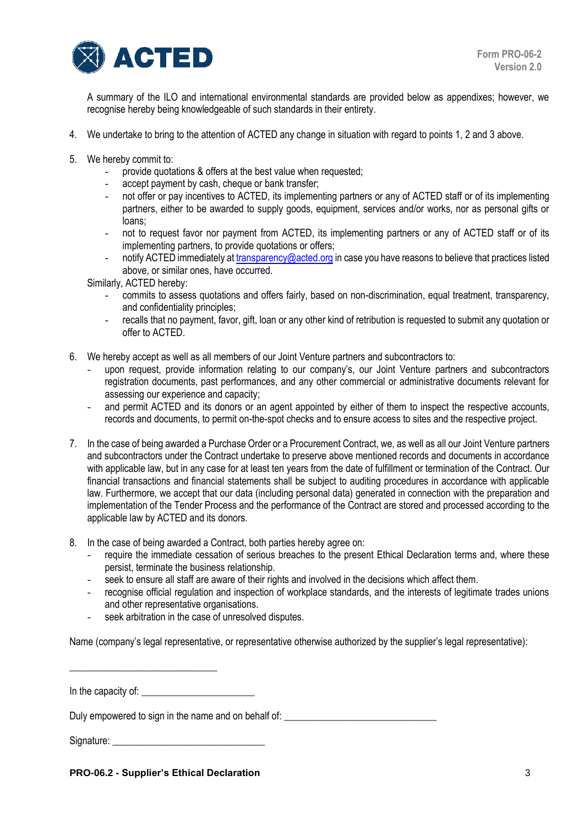

A summary of the ILO and international environmental standards are provided below as appendixes; however, we recognise hereby being knowledgeable of such standards in their entirety.

- 4. We undertake to bring to the attention of ACTED any change in situation with regard to points 1, 2 and 3 above.
- 5. We hereby commit to:
	- provide quotations & offers at the best value when requested:
	- accept payment by cash, cheque or bank transfer;
	- not offer or pay incentives to ACTED, its implementing partners or any of ACTED staff or of its implementing partners, either to be awarded to supply goods, equipment, services and/or works, nor as personal gifts or loans;
	- not to request favor nor payment from ACTED, its implementing partners or any of ACTED staff or of its implementing partners, to provide quotations or offers;
	- notify ACTED immediately a[t transparency@acted.org](mailto:transparency@acted.org) in case you have reasons to believe that practices listed above, or similar ones, have occurred.

Similarly, ACTED hereby:

- commits to assess quotations and offers fairly, based on non-discrimination, equal treatment, transparency, and confidentiality principles;
- recalls that no payment, favor, gift, loan or any other kind of retribution is requested to submit any quotation or offer to ACTED.
- 6. We hereby accept as well as all members of our Joint Venture partners and subcontractors to:
	- upon request, provide information relating to our company's, our Joint Venture partners and subcontractors registration documents, past performances, and any other commercial or administrative documents relevant for assessing our experience and capacity;
	- and permit ACTED and its donors or an agent appointed by either of them to inspect the respective accounts, records and documents, to permit on-the-spot checks and to ensure access to sites and the respective project.
- 7. In the case of being awarded a Purchase Order or a Procurement Contract, we, as well as all our Joint Venture partners and subcontractors under the Contract undertake to preserve above mentioned records and documents in accordance with applicable law, but in any case for at least ten years from the date of fulfillment or termination of the Contract. Our financial transactions and financial statements shall be subject to auditing procedures in accordance with applicable law. Furthermore, we accept that our data (including personal data) generated in connection with the preparation and implementation of the Tender Process and the performance of the Contract are stored and processed according to the applicable law by ACTED and its donors.
- 8. In the case of being awarded a Contract, both parties hereby agree on:
	- require the immediate cessation of serious breaches to the present Ethical Declaration terms and, where these persist, terminate the business relationship.
	- seek to ensure all staff are aware of their rights and involved in the decisions which affect them.
	- recognise official regulation and inspection of workplace standards, and the interests of legitimate trades unions and other representative organisations.
	- seek arbitration in the case of unresolved disputes.

Name (company's legal representative, or representative otherwise authorized by the supplier's legal representative):

In the capacity of:

\_\_\_\_\_\_\_\_\_\_\_\_\_\_\_\_\_\_\_\_\_\_\_\_\_\_\_\_\_\_

Duly empowered to sign in the name and on behalf of:

Signature:  $\Box$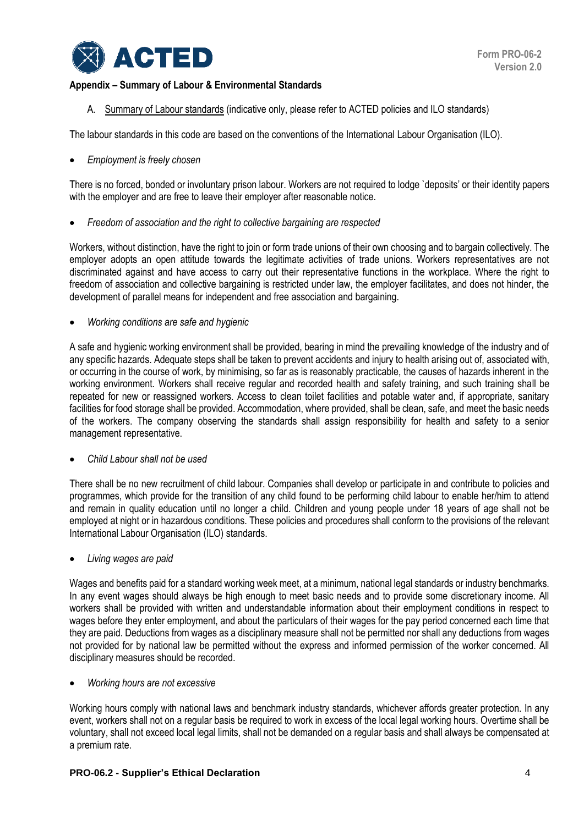

## **Appendix – Summary of Labour & Environmental Standards**

A. Summary of Labour standards (indicative only, please refer to ACTED policies and ILO standards)

The labour standards in this code are based on the conventions of the International Labour Organisation (ILO).

*Employment is freely chosen*

There is no forced, bonded or involuntary prison labour. Workers are not required to lodge `deposits' or their identity papers with the employer and are free to leave their employer after reasonable notice.

*Freedom of association and the right to collective bargaining are respected*

Workers, without distinction, have the right to join or form trade unions of their own choosing and to bargain collectively. The employer adopts an open attitude towards the legitimate activities of trade unions. Workers representatives are not discriminated against and have access to carry out their representative functions in the workplace. Where the right to freedom of association and collective bargaining is restricted under law, the employer facilitates, and does not hinder, the development of parallel means for independent and free association and bargaining.

*Working conditions are safe and hygienic*

A safe and hygienic working environment shall be provided, bearing in mind the prevailing knowledge of the industry and of any specific hazards. Adequate steps shall be taken to prevent accidents and injury to health arising out of, associated with, or occurring in the course of work, by minimising, so far as is reasonably practicable, the causes of hazards inherent in the working environment. Workers shall receive regular and recorded health and safety training, and such training shall be repeated for new or reassigned workers. Access to clean toilet facilities and potable water and, if appropriate, sanitary facilities for food storage shall be provided. Accommodation, where provided, shall be clean, safe, and meet the basic needs of the workers. The company observing the standards shall assign responsibility for health and safety to a senior management representative.

*Child Labour shall not be used*

There shall be no new recruitment of child labour. Companies shall develop or participate in and contribute to policies and programmes, which provide for the transition of any child found to be performing child labour to enable her/him to attend and remain in quality education until no longer a child. Children and young people under 18 years of age shall not be employed at night or in hazardous conditions. These policies and procedures shall conform to the provisions of the relevant International Labour Organisation (ILO) standards.

*Living wages are paid*

Wages and benefits paid for a standard working week meet, at a minimum, national legal standards or industry benchmarks. In any event wages should always be high enough to meet basic needs and to provide some discretionary income. All workers shall be provided with written and understandable information about their employment conditions in respect to wages before they enter employment, and about the particulars of their wages for the pay period concerned each time that they are paid. Deductions from wages as a disciplinary measure shall not be permitted nor shall any deductions from wages not provided for by national law be permitted without the express and informed permission of the worker concerned. All disciplinary measures should be recorded.

*Working hours are not excessive*

Working hours comply with national laws and benchmark industry standards, whichever affords greater protection. In any event, workers shall not on a regular basis be required to work in excess of the local legal working hours. Overtime shall be voluntary, shall not exceed local legal limits, shall not be demanded on a regular basis and shall always be compensated at a premium rate.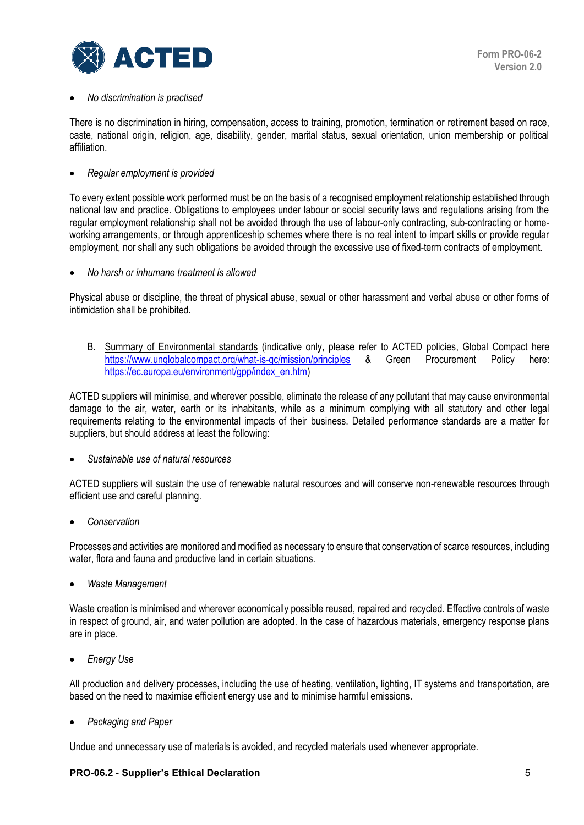

## *No discrimination is practised*

There is no discrimination in hiring, compensation, access to training, promotion, termination or retirement based on race, caste, national origin, religion, age, disability, gender, marital status, sexual orientation, union membership or political affiliation.

*Regular employment is provided*

To every extent possible work performed must be on the basis of a recognised employment relationship established through national law and practice. Obligations to employees under labour or social security laws and regulations arising from the regular employment relationship shall not be avoided through the use of labour-only contracting, sub-contracting or homeworking arrangements, or through apprenticeship schemes where there is no real intent to impart skills or provide regular employment, nor shall any such obligations be avoided through the excessive use of fixed-term contracts of employment.

*No harsh or inhumane treatment is allowed*

Physical abuse or discipline, the threat of physical abuse, sexual or other harassment and verbal abuse or other forms of intimidation shall be prohibited.

B. Summary of Environmental standards (indicative only, please refer to ACTED policies, Global Compact here <https://www.unglobalcompact.org/what-is-gc/mission/principles> & Green Procurement Policy here: [https://ec.europa.eu/environment/gpp/index\\_en.htm\)](https://ec.europa.eu/environment/gpp/index_en.htm)

ACTED suppliers will minimise, and wherever possible, eliminate the release of any pollutant that may cause environmental damage to the air, water, earth or its inhabitants, while as a minimum complying with all statutory and other legal requirements relating to the environmental impacts of their business. Detailed performance standards are a matter for suppliers, but should address at least the following:

*Sustainable use of natural resources*

ACTED suppliers will sustain the use of renewable natural resources and will conserve non-renewable resources through efficient use and careful planning.

*Conservation*

Processes and activities are monitored and modified as necessary to ensure that conservation of scarce resources, including water, flora and fauna and productive land in certain situations.

*Waste Management*

Waste creation is minimised and wherever economically possible reused, repaired and recycled. Effective controls of waste in respect of ground, air, and water pollution are adopted. In the case of hazardous materials, emergency response plans are in place.

*Energy Use* 

All production and delivery processes, including the use of heating, ventilation, lighting, IT systems and transportation, are based on the need to maximise efficient energy use and to minimise harmful emissions.

*Packaging and Paper*

Undue and unnecessary use of materials is avoided, and recycled materials used whenever appropriate.

## **PRO-06.2 - Supplier's Ethical Declaration** 5